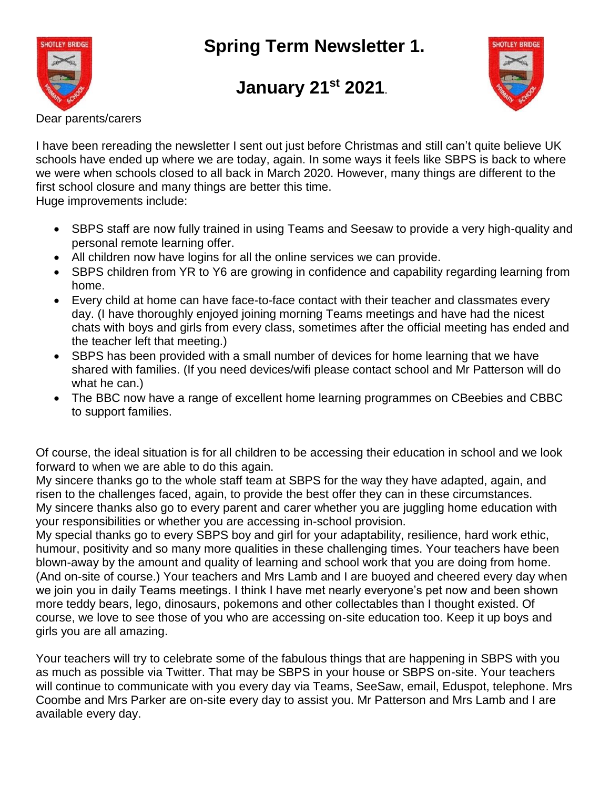**Spring Term Newsletter 1.**



## **January 21st 2021**.



Dear parents/carers

I have been rereading the newsletter I sent out just before Christmas and still can't quite believe UK schools have ended up where we are today, again. In some ways it feels like SBPS is back to where we were when schools closed to all back in March 2020. However, many things are different to the first school closure and many things are better this time.

Huge improvements include:

- SBPS staff are now fully trained in using Teams and Seesaw to provide a very high-quality and personal remote learning offer.
- All children now have logins for all the online services we can provide.
- SBPS children from YR to Y6 are growing in confidence and capability regarding learning from home.
- Every child at home can have face-to-face contact with their teacher and classmates every day. (I have thoroughly enjoyed joining morning Teams meetings and have had the nicest chats with boys and girls from every class, sometimes after the official meeting has ended and the teacher left that meeting.)
- SBPS has been provided with a small number of devices for home learning that we have shared with families. (If you need devices/wifi please contact school and Mr Patterson will do what he can.)
- The BBC now have a range of excellent home learning programmes on CBeebies and CBBC to support families.

Of course, the ideal situation is for all children to be accessing their education in school and we look forward to when we are able to do this again.

My sincere thanks go to the whole staff team at SBPS for the way they have adapted, again, and risen to the challenges faced, again, to provide the best offer they can in these circumstances. My sincere thanks also go to every parent and carer whether you are juggling home education with your responsibilities or whether you are accessing in-school provision.

My special thanks go to every SBPS boy and girl for your adaptability, resilience, hard work ethic, humour, positivity and so many more qualities in these challenging times. Your teachers have been blown-away by the amount and quality of learning and school work that you are doing from home. (And on-site of course.) Your teachers and Mrs Lamb and I are buoyed and cheered every day when we join you in daily Teams meetings. I think I have met nearly everyone's pet now and been shown more teddy bears, lego, dinosaurs, pokemons and other collectables than I thought existed. Of course, we love to see those of you who are accessing on-site education too. Keep it up boys and girls you are all amazing.

Your teachers will try to celebrate some of the fabulous things that are happening in SBPS with you as much as possible via Twitter. That may be SBPS in your house or SBPS on-site. Your teachers will continue to communicate with you every day via Teams, SeeSaw, email, Eduspot, telephone. Mrs Coombe and Mrs Parker are on-site every day to assist you. Mr Patterson and Mrs Lamb and I are available every day.